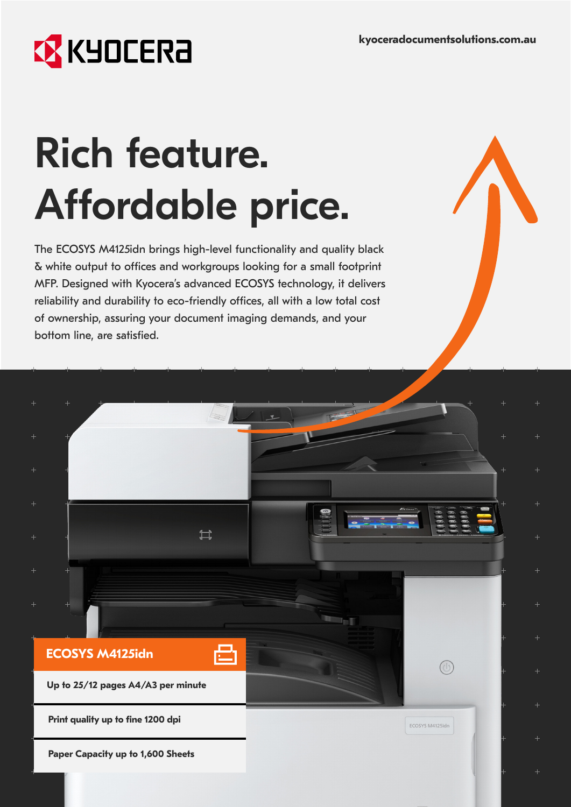ECOSYS M4125idn

## **EX** KYOCERA

**ECOSYS M4125idn**

**Up to 25/12 pages A4/A3 per minute**

**Print quality up to fine 1200 dpi**

**Paper Capacity up to 1,600 Sheets**

# Rich feature. Affordable price.

The ECOSYS M4125idn brings high-level functionality and quality black & white output to offices and workgroups looking for a small footprint MFP. Designed with Kyocera's advanced ECOSYS technology, it delivers reliability and durability to eco-friendly offices, all with a low total cost of ownership, assuring your document imaging demands, and your bottom line, are satisfied.

 $\sum$ 

凸